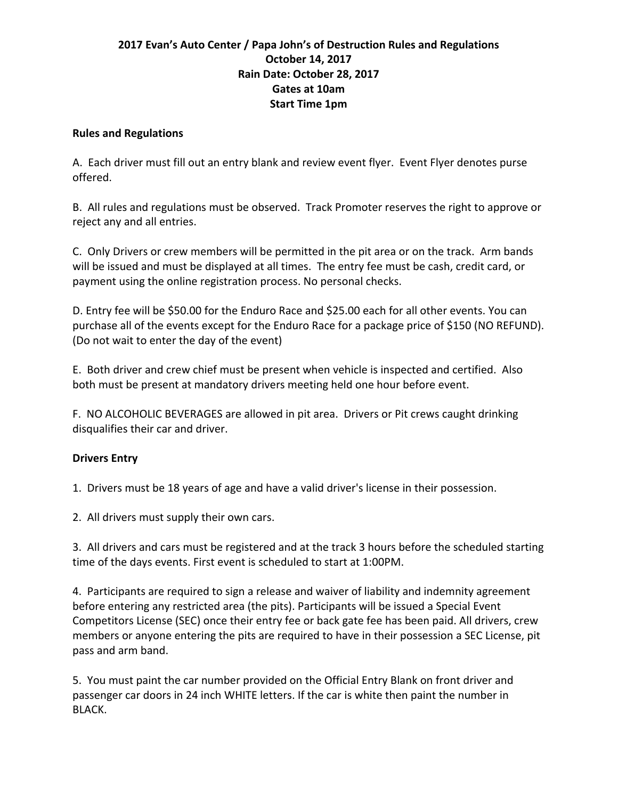### **2017** Evan's Auto Center / Papa John's of Destruction Rules and Regulations **October 14, 2017 Rain Date: October 28, 2017 Gates at 10am Start Time 1pm**

#### **Rules and Regulations**

A. Each driver must fill out an entry blank and review event flyer. Event Flyer denotes purse offered.

B. All rules and regulations must be observed. Track Promoter reserves the right to approve or reject any and all entries.

C. Only Drivers or crew members will be permitted in the pit area or on the track. Arm bands will be issued and must be displayed at all times. The entry fee must be cash, credit card, or payment using the online registration process. No personal checks.

D. Entry fee will be \$50.00 for the Enduro Race and \$25.00 each for all other events. You can purchase all of the events except for the Enduro Race for a package price of \$150 (NO REFUND). (Do not wait to enter the day of the event)

E. Both driver and crew chief must be present when vehicle is inspected and certified. Also both must be present at mandatory drivers meeting held one hour before event.

F. NO ALCOHOLIC BEVERAGES are allowed in pit area. Drivers or Pit crews caught drinking disqualifies their car and driver.

### **Drivers Entry**

1. Drivers must be 18 years of age and have a valid driver's license in their possession.

2. All drivers must supply their own cars.

3. All drivers and cars must be registered and at the track 3 hours before the scheduled starting time of the days events. First event is scheduled to start at 1:00PM.

4. Participants are required to sign a release and waiver of liability and indemnity agreement before entering any restricted area (the pits). Participants will be issued a Special Event Competitors License (SEC) once their entry fee or back gate fee has been paid. All drivers, crew members or anyone entering the pits are required to have in their possession a SEC License, pit pass and arm band.

5. You must paint the car number provided on the Official Entry Blank on front driver and passenger car doors in 24 inch WHITE letters. If the car is white then paint the number in BLACK.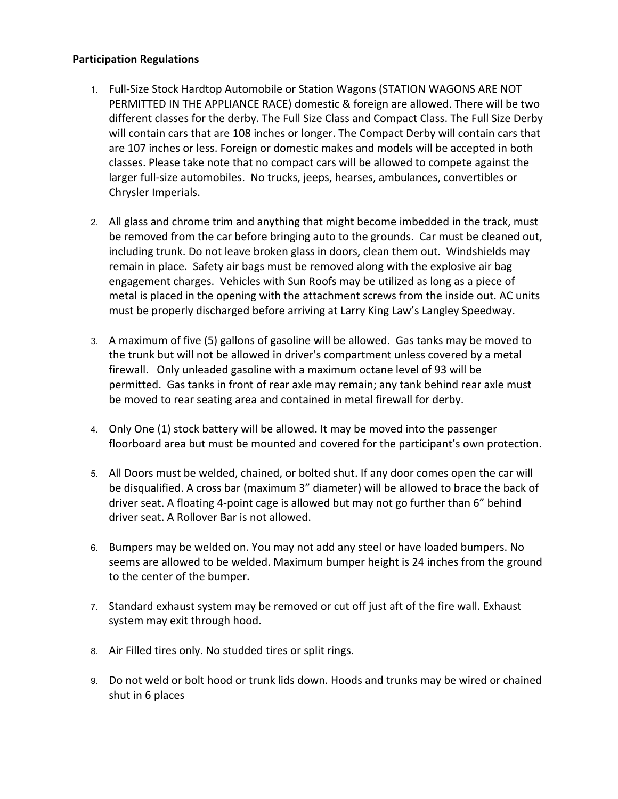#### **Participation Regulations**

- 1. Full-Size Stock Hardtop Automobile or Station Wagons (STATION WAGONS ARE NOT PERMITTED IN THE APPLIANCE RACE) domestic & foreign are allowed. There will be two different classes for the derby. The Full Size Class and Compact Class. The Full Size Derby will contain cars that are 108 inches or longer. The Compact Derby will contain cars that are 107 inches or less. Foreign or domestic makes and models will be accepted in both classes. Please take note that no compact cars will be allowed to compete against the larger full-size automobiles. No trucks, jeeps, hearses, ambulances, convertibles or Chrysler Imperials.
- 2. All glass and chrome trim and anything that might become imbedded in the track, must be removed from the car before bringing auto to the grounds. Car must be cleaned out, including trunk. Do not leave broken glass in doors, clean them out. Windshields may remain in place. Safety air bags must be removed along with the explosive air bag engagement charges. Vehicles with Sun Roofs may be utilized as long as a piece of metal is placed in the opening with the attachment screws from the inside out. AC units must be properly discharged before arriving at Larry King Law's Langley Speedway.
- 3. A maximum of five (5) gallons of gasoline will be allowed. Gas tanks may be moved to the trunk but will not be allowed in driver's compartment unless covered by a metal firewall. Only unleaded gasoline with a maximum octane level of 93 will be permitted. Gas tanks in front of rear axle may remain; any tank behind rear axle must be moved to rear seating area and contained in metal firewall for derby.
- 4. Only One (1) stock battery will be allowed. It may be moved into the passenger floorboard area but must be mounted and covered for the participant's own protection.
- 5. All Doors must be welded, chained, or bolted shut. If any door comes open the car will be disqualified. A cross bar (maximum 3" diameter) will be allowed to brace the back of driver seat. A floating 4-point cage is allowed but may not go further than 6" behind driver seat. A Rollover Bar is not allowed.
- 6. Bumpers may be welded on. You may not add any steel or have loaded bumpers. No seems are allowed to be welded. Maximum bumper height is 24 inches from the ground to the center of the bumper.
- 7. Standard exhaust system may be removed or cut off just aft of the fire wall. Exhaust system may exit through hood.
- 8. Air Filled tires only. No studded tires or split rings.
- 9. Do not weld or bolt hood or trunk lids down. Hoods and trunks may be wired or chained shut in 6 places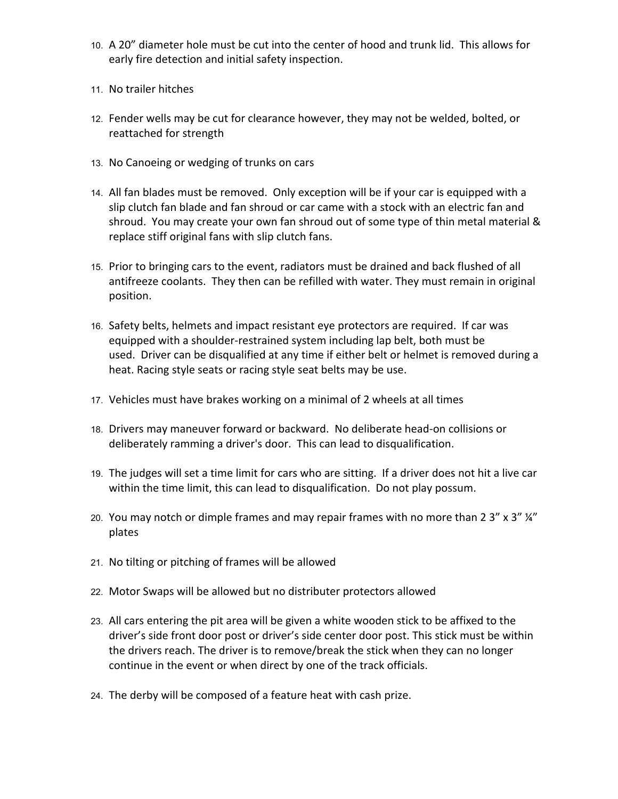- 10. A 20" diameter hole must be cut into the center of hood and trunk lid. This allows for early fire detection and initial safety inspection.
- 11. No trailer hitches
- 12. Fender wells may be cut for clearance however, they may not be welded, bolted, or reattached for strength
- 13. No Canoeing or wedging of trunks on cars
- 14. All fan blades must be removed. Only exception will be if your car is equipped with a slip clutch fan blade and fan shroud or car came with a stock with an electric fan and shroud. You may create your own fan shroud out of some type of thin metal material & replace stiff original fans with slip clutch fans.
- 15. Prior to bringing cars to the event, radiators must be drained and back flushed of all antifreeze coolants. They then can be refilled with water. They must remain in original position.
- 16. Safety belts, helmets and impact resistant eye protectors are required. If car was equipped with a shoulder-restrained system including lap belt, both must be used. Driver can be disqualified at any time if either belt or helmet is removed during a heat. Racing style seats or racing style seat belts may be use.
- 17. Vehicles must have brakes working on a minimal of 2 wheels at all times
- 18. Drivers may maneuver forward or backward. No deliberate head-on collisions or deliberately ramming a driver's door. This can lead to disqualification.
- 19. The judges will set a time limit for cars who are sitting. If a driver does not hit a live car within the time limit, this can lead to disqualification. Do not play possum.
- 20. You may notch or dimple frames and may repair frames with no more than 2 3" x 3"  $\frac{1}{4}$ " plates
- 21. No tilting or pitching of frames will be allowed
- 22. Motor Swaps will be allowed but no distributer protectors allowed
- 23. All cars entering the pit area will be given a white wooden stick to be affixed to the driver's side front door post or driver's side center door post. This stick must be within the drivers reach. The driver is to remove/break the stick when they can no longer continue in the event or when direct by one of the track officials.
- 24. The derby will be composed of a feature heat with cash prize.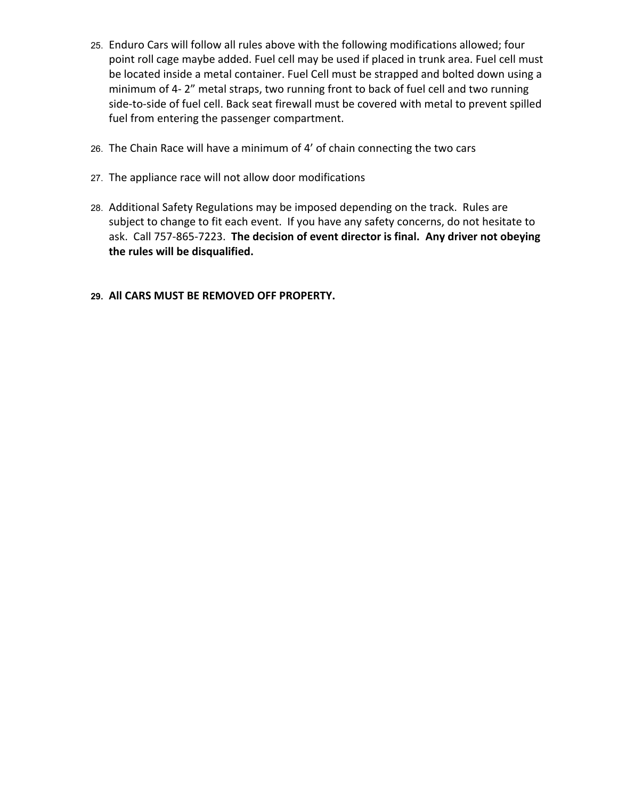- 25. Enduro Cars will follow all rules above with the following modifications allowed; four point roll cage maybe added. Fuel cell may be used if placed in trunk area. Fuel cell must be located inside a metal container. Fuel Cell must be strapped and bolted down using a minimum of 4-2" metal straps, two running front to back of fuel cell and two running side-to-side of fuel cell. Back seat firewall must be covered with metal to prevent spilled fuel from entering the passenger compartment.
- 26. The Chain Race will have a minimum of 4' of chain connecting the two cars
- 27. The appliance race will not allow door modifications
- 28. Additional Safety Regulations may be imposed depending on the track. Rules are subject to change to fit each event. If you have any safety concerns, do not hesitate to ask. Call 757-865-7223. The decision of event director is final. Any driver not obeying the rules will be disqualified.
- 29. All CARS MUST BE REMOVED OFF PROPERTY.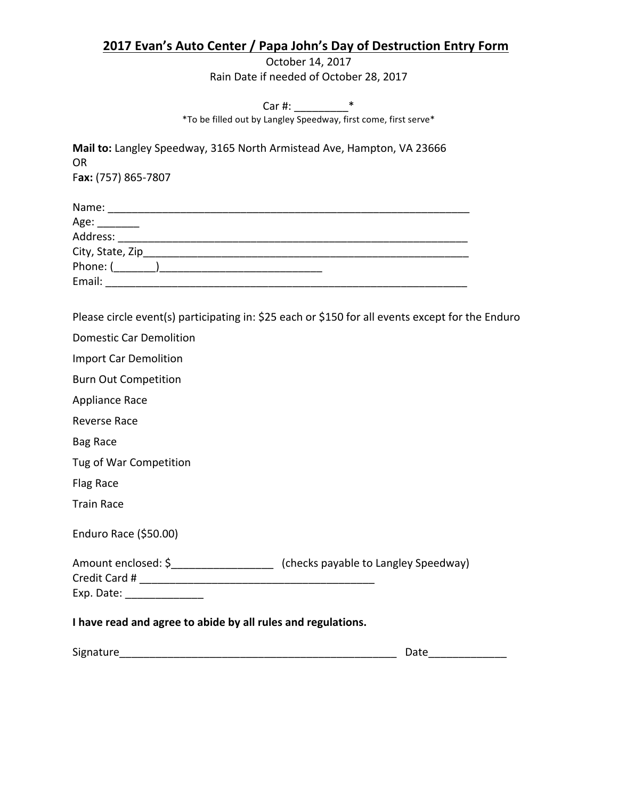## **2017 Evan's Auto Center / Papa John's Day of Destruction Entry Form**

October 14, 2017 Rain Date if needed of October 28, 2017

Car #: \_\_\_\_\_\_\_\_\_\*

\*To be filled out by Langley Speedway, first come, first serve\*

|                                                              | Mail to: Langley Speedway, 3165 North Armistead Ave, Hampton, VA 23666                           |  |
|--------------------------------------------------------------|--------------------------------------------------------------------------------------------------|--|
| <b>OR</b>                                                    |                                                                                                  |  |
| Fax: (757) 865-7807                                          |                                                                                                  |  |
|                                                              |                                                                                                  |  |
| Age: ________                                                |                                                                                                  |  |
|                                                              |                                                                                                  |  |
|                                                              |                                                                                                  |  |
|                                                              |                                                                                                  |  |
|                                                              |                                                                                                  |  |
| <b>Domestic Car Demolition</b>                               | Please circle event(s) participating in: \$25 each or \$150 for all events except for the Enduro |  |
| <b>Import Car Demolition</b>                                 |                                                                                                  |  |
| <b>Burn Out Competition</b>                                  |                                                                                                  |  |
| <b>Appliance Race</b>                                        |                                                                                                  |  |
| <b>Reverse Race</b>                                          |                                                                                                  |  |
| <b>Bag Race</b>                                              |                                                                                                  |  |
| Tug of War Competition                                       |                                                                                                  |  |
| <b>Flag Race</b>                                             |                                                                                                  |  |
| <b>Train Race</b>                                            |                                                                                                  |  |
| Enduro Race (\$50.00)                                        |                                                                                                  |  |
|                                                              | Amount enclosed: \$<br>_________________________________ (checks payable to Langley Speedway)    |  |
|                                                              |                                                                                                  |  |
| Exp. Date: ________________                                  |                                                                                                  |  |
| I have read and agree to abide by all rules and regulations. |                                                                                                  |  |
| Signature                                                    | Date                                                                                             |  |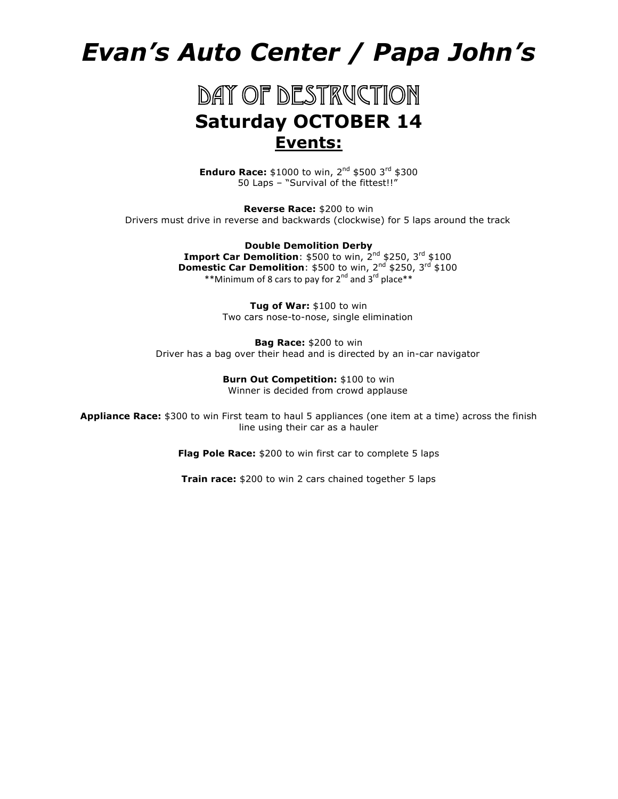# *Evan's Auto Center / Papa John's*

# DAY OF DESTRUCTION **Saturday OCTOBER 14 Events:**

**Enduro Race:** \$1000 to win, 2<sup>nd</sup> \$500 3<sup>rd</sup> \$300 50 Laps – "Survival of the fittest!!"

**Reverse Race:** \$200 to win Drivers must drive in reverse and backwards (clockwise) for 5 laps around the track

> **Double Demolition Derby Import Car Demolition**: \$500 to win, 2<sup>nd</sup> \$250, 3<sup>rd</sup> \$100 **Domestic Car Demolition**: \$500 to win, 2<sup>nd</sup> \$250, 3<sup>rd</sup> \$100 \*\*Minimum of 8 cars to pay for 2<sup>nd</sup> and 3<sup>rd</sup> place\*\*

> > **Tug of War:** \$100 to win Two cars nose-to-nose, single elimination

**Bag Race:** \$200 to win Driver has a bag over their head and is directed by an in-car navigator

> **Burn Out Competition:** \$100 to win Winner is decided from crowd applause

**Appliance Race:** \$300 to win First team to haul 5 appliances (one item at a time) across the finish line using their car as a hauler

**Flag Pole Race:** \$200 to win first car to complete 5 laps

**Train race:** \$200 to win 2 cars chained together 5 laps